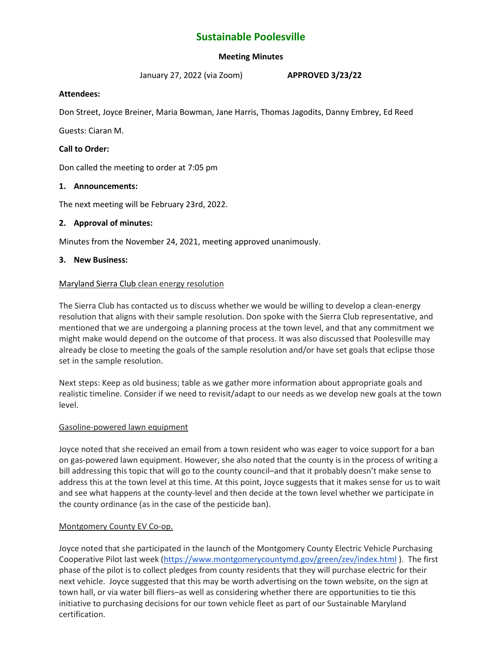# **Sustainable Poolesville**

### **Meeting Minutes**

January 27, 2022 (via Zoom) **APPROVED 3/23/22**

### **Attendees:**

Don Street, Joyce Breiner, Maria Bowman, Jane Harris, Thomas Jagodits, Danny Embrey, Ed Reed

Guests: Ciaran M.

### **Call to Order:**

Don called the meeting to order at 7:05 pm

### **1. Announcements:**

The next meeting will be February 23rd, 2022.

### **2. Approval of minutes:**

Minutes from the November 24, 2021, meeting approved unanimously.

### **3. New Business:**

### Maryland Sierra Club clean energy resolution

The Sierra Club has contacted us to discuss whether we would be willing to develop a clean-energy resolution that aligns with their sample resolution. Don spoke with the Sierra Club representative, and mentioned that we are undergoing a planning process at the town level, and that any commitment we might make would depend on the outcome of that process. It was also discussed that Poolesville may already be close to meeting the goals of the sample resolution and/or have set goals that eclipse those set in the sample resolution.

Next steps: Keep as old business; table as we gather more information about appropriate goals and realistic timeline. Consider if we need to revisit/adapt to our needs as we develop new goals at the town level.

### Gasoline-powered lawn equipment

Joyce noted that she received an email from a town resident who was eager to voice support for a ban on gas-powered lawn equipment. However, she also noted that the county is in the process of writing a bill addressing this topic that will go to the county council–and that it probably doesn't make sense to address this at the town level at this time. At this point, Joyce suggests that it makes sense for us to wait and see what happens at the county-level and then decide at the town level whether we participate in the county ordinance (as in the case of the pesticide ban).

### Montgomery County EV Co-op.

Joyce noted that she participated in the launch of the Montgomery County Electric Vehicle Purchasing Cooperative Pilot last week [\(https://www.montgomerycountymd.gov/green/zev/index.html](https://www.montgomerycountymd.gov/green/zev/index.html) ). The first phase of the pilot is to collect pledges from county residents that they will purchase electric for their next vehicle. Joyce suggested that this may be worth advertising on the town website, on the sign at town hall, or via water bill fliers–as well as considering whether there are opportunities to tie this initiative to purchasing decisions for our town vehicle fleet as part of our Sustainable Maryland certification.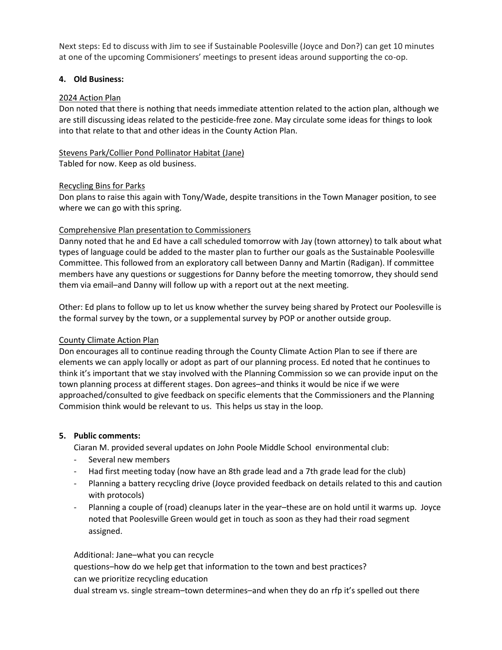Next steps: Ed to discuss with Jim to see if Sustainable Poolesville (Joyce and Don?) can get 10 minutes at one of the upcoming Commisioners' meetings to present ideas around supporting the co-op.

### **4. Old Business:**

#### 2024 Action Plan

Don noted that there is nothing that needs immediate attention related to the action plan, although we are still discussing ideas related to the pesticide-free zone. May circulate some ideas for things to look into that relate to that and other ideas in the County Action Plan.

### Stevens Park/Collier Pond Pollinator Habitat (Jane)

Tabled for now. Keep as old business.

### Recycling Bins for Parks

Don plans to raise this again with Tony/Wade, despite transitions in the Town Manager position, to see where we can go with this spring.

### Comprehensive Plan presentation to Commissioners

Danny noted that he and Ed have a call scheduled tomorrow with Jay (town attorney) to talk about what types of language could be added to the master plan to further our goals as the Sustainable Poolesville Committee. This followed from an exploratory call between Danny and Martin (Radigan). If committee members have any questions or suggestions for Danny before the meeting tomorrow, they should send them via email–and Danny will follow up with a report out at the next meeting.

Other: Ed plans to follow up to let us know whether the survey being shared by Protect our Poolesville is the formal survey by the town, or a supplemental survey by POP or another outside group.

### County Climate Action Plan

Don encourages all to continue reading through the County Climate Action Plan to see if there are elements we can apply locally or adopt as part of our planning process. Ed noted that he continues to think it's important that we stay involved with the Planning Commission so we can provide input on the town planning process at different stages. Don agrees–and thinks it would be nice if we were approached/consulted to give feedback on specific elements that the Commissioners and the Planning Commision think would be relevant to us. This helps us stay in the loop.

### **5. Public comments:**

Ciaran M. provided several updates on John Poole Middle School environmental club:

- Several new members
- Had first meeting today (now have an 8th grade lead and a 7th grade lead for the club)
- Planning a battery recycling drive (Joyce provided feedback on details related to this and caution with protocols)
- Planning a couple of (road) cleanups later in the year–these are on hold until it warms up. Joyce noted that Poolesville Green would get in touch as soon as they had their road segment assigned.

Additional: Jane–what you can recycle questions–how do we help get that information to the town and best practices? can we prioritize recycling education dual stream vs. single stream–town determines–and when they do an rfp it's spelled out there